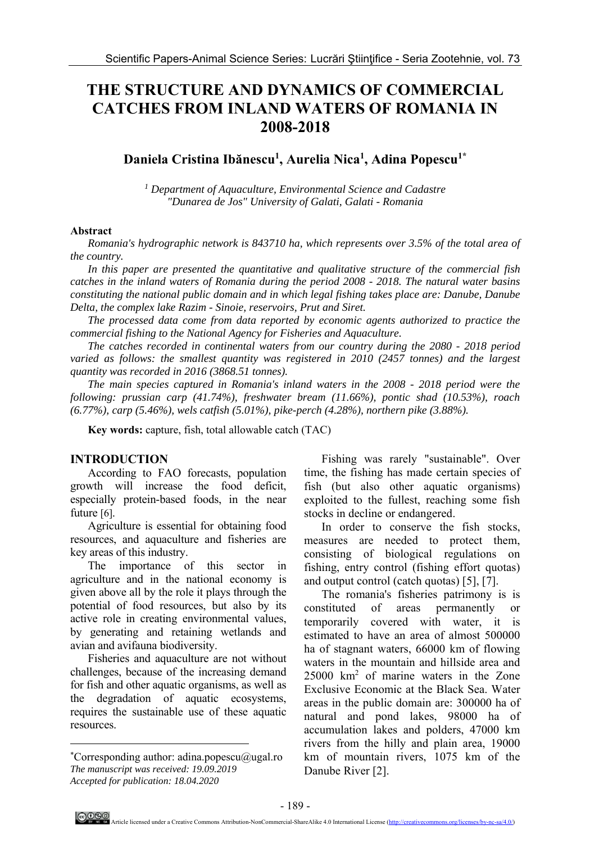# **THE STRUCTURE AND DYNAMICS OF COMMERCIAL CATCHES FROM INLAND WATERS OF ROMANIA IN 2008-2018**

## **Daniela Cristina Ibănescu1 , Aurelia Nica1 , Adina Popescu1\***

*1 Department of Aquaculture, Environmental Science and Cadastre "Dunarea de Jos" University of Galati, Galati - Romania* 

#### **Abstract**

*Romania's hydrographic network is 843710 ha, which represents over 3.5% of the total area of the country.* 

*In this paper are presented the quantitative and qualitative structure of the commercial fish catches in the inland waters of Romania during the period 2008 - 2018. The natural water basins constituting the national public domain and in which legal fishing takes place are: Danube, Danube Delta, the complex lake Razim - Sinoie, reservoirs, Prut and Siret.* 

*The processed data come from data reported by economic agents authorized to practice the commercial fishing to the National Agency for Fisheries and Aquaculture.* 

*The catches recorded in continental waters from our country during the 2080 - 2018 period varied as follows: the smallest quantity was registered in 2010 (2457 tonnes) and the largest quantity was recorded in 2016 (3868.51 tonnes).* 

*The main species captured in Romania's inland waters in the 2008 - 2018 period were the following: prussian carp (41.74%), freshwater bream (11.66%), pontic shad (10.53%), roach (6.77%), carp (5.46%), wels catfish (5.01%), pike-perch (4.28%), northern pike (3.88%).* 

**Key words:** capture, fish, total allowable catch (TAC)

#### **INTRODUCTION**

 $\overline{a}$ 

 According to FAO forecasts, population growth will increase the food deficit, especially protein-based foods, in the near future [6].

Agriculture is essential for obtaining food resources, and aquaculture and fisheries are key areas of this industry.

The importance of this sector in agriculture and in the national economy is given above all by the role it plays through the potential of food resources, but also by its active role in creating environmental values, by generating and retaining wetlands and avian and avifauna biodiversity.

Fisheries and aquaculture are not without challenges, because of the increasing demand for fish and other aquatic organisms, as well as the degradation of aquatic ecosystems, requires the sustainable use of these aquatic resources.

Fishing was rarely "sustainable". Over time, the fishing has made certain species of fish (but also other aquatic organisms) exploited to the fullest, reaching some fish stocks in decline or endangered.

In order to conserve the fish stocks, measures are needed to protect them, consisting of biological regulations on fishing, entry control (fishing effort quotas) and output control (catch quotas) [5], [7].

The romania's fisheries patrimony is is constituted of areas permanently or temporarily covered with water, it is estimated to have an area of almost 500000 ha of stagnant waters, 66000 km of flowing waters in the mountain and hillside area and 25000 km2 of marine waters in the Zone Exclusive Economic at the Black Sea. Water areas in the public domain are: 300000 ha of natural and pond lakes, 98000 ha of accumulation lakes and polders, 47000 km rivers from the hilly and plain area, 19000 km of mountain rivers, 1075 km of the Danube River [2].

<sup>\*</sup>Corresponding author: adina.popescu@ugal.ro *The manuscript was received: 19.09.2019 Accepted for publication: 18.04.2020*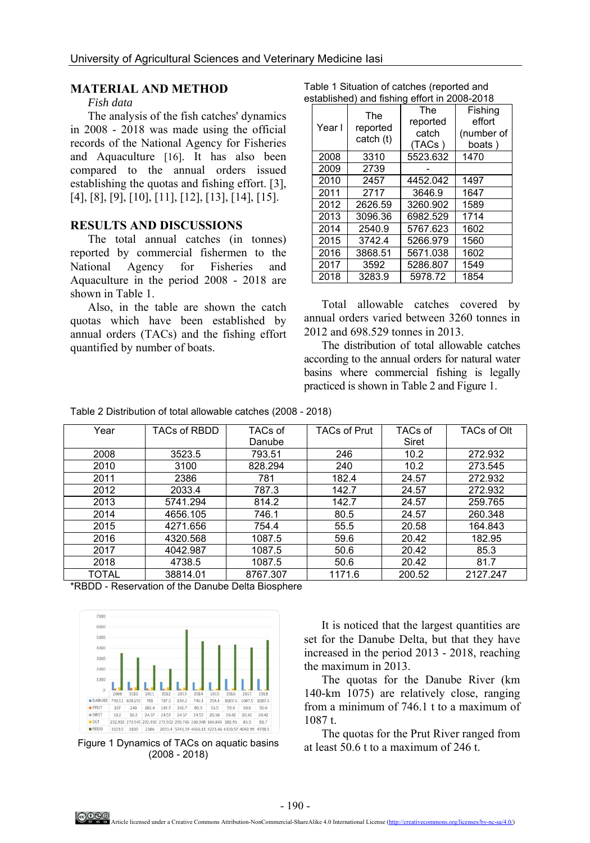#### **MATERIAL AND METHOD**

### *Fish data*

The analysis of the fish catches' dynamics in 2008 - 2018 was made using the official records of the National Agency for Fisheries and Aquaculture [16]. It has also been compared to the annual orders issued establishing the quotas and fishing effort. [3], [4], [8], [9], [10], [11], [12], [13], [14], [15].

#### **RESULTS AND DISCUSSIONS**

The total annual catches (in tonnes) reported by commercial fishermen to the National Agency for Fisheries and Aquaculture in the period 2008 - 2018 are shown in Table 1.

Also, in the table are shown the catch quotas which have been established by annual orders (TACs) and the fishing effort quantified by number of boats.

| established) and lishing enort in 2006-2016 |                              |                                    |                                           |  |  |  |  |  |
|---------------------------------------------|------------------------------|------------------------------------|-------------------------------------------|--|--|--|--|--|
| Year I                                      | The<br>reported<br>catch (t) | The<br>reported<br>catch<br>(TACs) | Fishina<br>effort<br>(number of<br>boats) |  |  |  |  |  |
| 2008                                        | 3310                         | 5523.632                           | 1470                                      |  |  |  |  |  |
| 2009                                        | 2739                         |                                    |                                           |  |  |  |  |  |
| 2010                                        | 2457                         | 4452.042                           | 1497                                      |  |  |  |  |  |
| 2011                                        | 2717                         | 3646.9                             | 1647                                      |  |  |  |  |  |
| 2012                                        | 2626.59                      | 3260.902                           | 1589                                      |  |  |  |  |  |
| 2013                                        | 3096.36                      | 6982.529                           | 1714                                      |  |  |  |  |  |
| 2014                                        | 2540.9                       | 5767.623                           | 1602                                      |  |  |  |  |  |
| 2015                                        | 3742.4                       | 5266.979                           | 1560                                      |  |  |  |  |  |
| 2016                                        | 3868.51                      | 5671.038                           | 1602                                      |  |  |  |  |  |
| 2017                                        | 3592                         | 5286.807                           | 1549                                      |  |  |  |  |  |
| 2018                                        | 3283.9                       | 5978.72                            | 1854                                      |  |  |  |  |  |

Total allowable catches covered by annual orders varied between 3260 tonnes in 2012 and 698.529 tonnes in 2013.

The distribution of total allowable catches according to the annual orders for natural water basins where commercial fishing is legally practiced is shown in Table 2 and Figure 1.

| Table 2 Distribution of total allowable catches (2008 - 2018) |  |  |
|---------------------------------------------------------------|--|--|
|---------------------------------------------------------------|--|--|

| Year  | TACs of RBDD | TACs of  | <b>TACs of Prut</b> | TACs of | TACs of Olt |
|-------|--------------|----------|---------------------|---------|-------------|
|       |              | Danube   |                     | Siret   |             |
| 2008  | 3523.5       | 793.51   | 246                 | 10.2    | 272.932     |
| 2010  | 3100         | 828.294  | 240                 | 10.2    | 273.545     |
| 2011  | 2386         | 781      | 182.4               | 24.57   | 272.932     |
| 2012  | 2033.4       | 787.3    | 142.7               | 24.57   | 272.932     |
| 2013  | 5741.294     | 814.2    | 142.7               | 24.57   | 259.765     |
| 2014  | 4656.105     | 746.1    | 80.5                | 24.57   | 260.348     |
| 2015  | 4271.656     | 754.4    | 55.5                | 20.58   | 164.843     |
| 2016  | 4320.568     | 1087.5   | 59.6                | 20.42   | 182.95      |
| 2017  | 4042.987     | 1087.5   | 50.6                | 20.42   | 85.3        |
| 2018  | 4738.5       | 1087.5   | 50.6                | 20.42   | 81.7        |
| TOTAL | 38814.01     | 8767.307 | 1171.6              | 200.52  | 2127.247    |

\*RBDD - Reservation of the Danube Delta Biosphere



Figure 1 Dynamics of TACs on aquatic basins (2008 - 2018)

It is noticed that the largest quantities are set for the Danube Delta, but that they have increased in the period 2013 - 2018, reaching the maximum in 2013.

The quotas for the Danube River (km 140-km 1075) are relatively close, ranging from a minimum of 746.1 t to a maximum of 1087 t.

The quotas for the Prut River ranged from at least 50.6 t to a maximum of 246 t.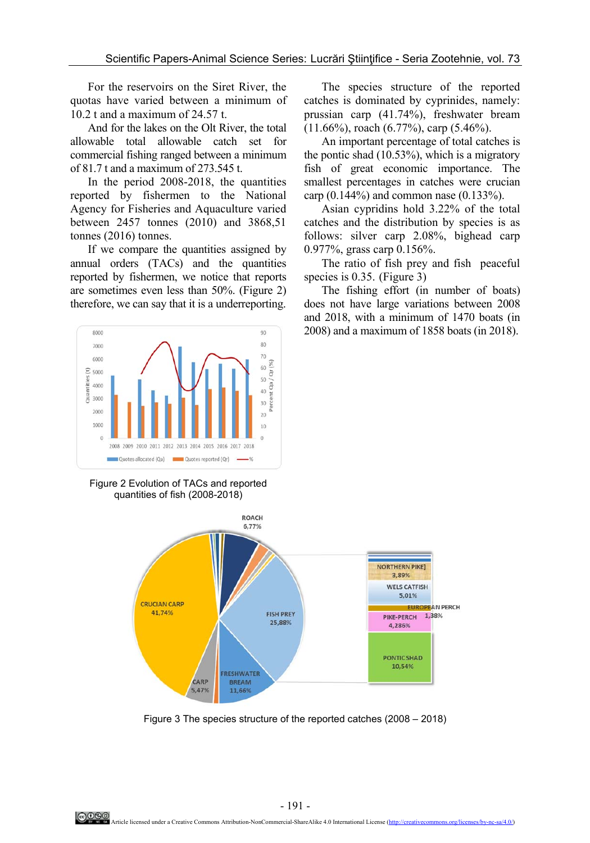For the reservoirs on the Siret River, the quotas have varied between a minimum of 10.2 t and a maximum of 24.57 t.

And for the lakes on the Olt River, the total allowable total allowable catch set for commercial fishing ranged between a minimum of 81.7 t and a maximum of 273.545 t.

In the period 2008-2018, the quantities reported by fishermen to the National Agency for Fisheries and Aquaculture varied between 2457 tonnes (2010) and 3868,51 tonnes (2016) tonnes.

If we compare the quantities assigned by annual orders (TACs) and the quantities reported by fishermen, we notice that reports are sometimes even less than 50%. (Figure 2) therefore, we can say that it is a underreporting.



Figure 2 Evolution of TACs and reported quantities of fish (2008-2018)



Figure 3 The species structure of the reported catches (2008 – 2018)

The species structure of the reported catches is dominated by cyprinides, namely: prussian carp (41.74%), freshwater bream (11.66%), roach (6.77%), carp (5.46%).

An important percentage of total catches is the pontic shad (10.53%), which is a migratory fish of great economic importance. The smallest percentages in catches were crucian carp (0.144%) and common nase (0.133%).

Asian cypridins hold 3.22% of the total catches and the distribution by species is as follows: silver carp 2.08%, bighead carp 0.977%, grass carp 0.156%.

The ratio of fish prey and fish peaceful species is 0.35. (Figure 3)

The fishing effort (in number of boats) does not have large variations between 2008 and 2018, with a minimum of 1470 boats (in 2008) and a maximum of 1858 boats (in 2018).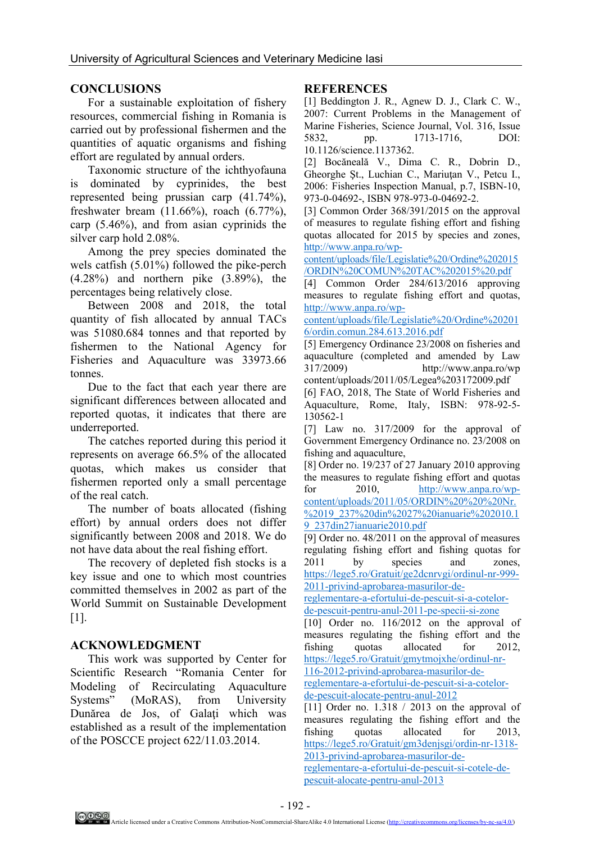## **CONCLUSIONS**

For a sustainable exploitation of fishery resources, commercial fishing in Romania is carried out by professional fishermen and the quantities of aquatic organisms and fishing effort are regulated by annual orders.

Taxonomic structure of the ichthyofauna is dominated by cyprinides, the best represented being prussian carp (41.74%), freshwater bream (11.66%), roach (6.77%), carp (5.46%), and from asian cyprinids the silver carp hold 2.08%.

Among the prey species dominated the wels catfish (5.01%) followed the pike-perch (4.28%) and northern pike (3.89%), the percentages being relatively close.

Between 2008 and 2018, the total quantity of fish allocated by annual TACs was 51080.684 tonnes and that reported by fishermen to the National Agency for Fisheries and Aquaculture was 33973.66 tonnes.

Due to the fact that each year there are significant differences between allocated and reported quotas, it indicates that there are underreported.

The catches reported during this period it represents on average 66.5% of the allocated quotas, which makes us consider that fishermen reported only a small percentage of the real catch.

The number of boats allocated (fishing effort) by annual orders does not differ significantly between 2008 and 2018. We do not have data about the real fishing effort.

The recovery of depleted fish stocks is a key issue and one to which most countries committed themselves in 2002 as part of the World Summit on Sustainable Development [1].

## **ACKNOWLEDGMENT**

This work was supported by Center for Scientific Research "Romania Center for Modeling of Recirculating Aquaculture Systems" (MoRAS), from University Dunărea de Jos, of Galaţi which was established as a result of the implementation of the POSCCE project 622/11.03.2014.

### **REFERENCES**

[1] Beddington J. R., Agnew D. J., Clark C. W., 2007: Current Problems in the Management of Marine Fisheries, Science Journal, Vol. 316, Issue 5832, pp. 1713-1716, DOI: 10.1126/science.1137362.

[2] Bocăneală V., Dima C. R., Dobrin D., Gheorghe Şt., Luchian C., Mariuţan V., Petcu I., 2006: Fisheries Inspection Manual, p.7, ISBN-10, 973-0-04692-, ISBN 978-973-0-04692-2.

[3] Common Order 368/391/2015 on the approval of measures to regulate fishing effort and fishing quotas allocated for 2015 by species and zones, http://www.anpa.ro/wp-

content/uploads/file/Legislatie%20/Ordine%202015 /ORDIN%20COMUN%20TAC%202015%20.pdf

[4] Common Order 284/613/2016 approving measures to regulate fishing effort and quotas, http://www.anpa.ro/wp-

content/uploads/file/Legislatie%20/Ordine%20201 6/ordin.comun.284.613.2016.pdf

[5] Emergency Ordinance 23/2008 on fisheries and aquaculture (completed and amended by Law 317/2009) http://www.anpa.ro/wp content/uploads/2011/05/Legea%203172009.pdf

[6] FAO, 2018, The State of World Fisheries and Aquaculture, Rome, Italy, ISBN: 978-92-5- 130562-1

[7] Law no. 317/2009 for the approval of Government Emergency Ordinance no. 23/2008 on fishing and aquaculture,

[8] Order no. 19/237 of 27 January 2010 approving the measures to regulate fishing effort and quotas for 2010, http://www.anpa.ro/wp-

content/uploads/2011/05/ORDIN%20%20%20Nr. %2019\_237%20din%2027%20ianuarie%202010.1 9\_237din27ianuarie2010.pdf

[9] Order no. 48/2011 on the approval of measures regulating fishing effort and fishing quotas for 2011 by species and zones, https://lege5.ro/Gratuit/ge2dcnrvgi/ordinul-nr-999- 2011-privind-aprobarea-masurilor-de-

reglementare-a-efortului-de-pescuit-si-a-cotelorde-pescuit-pentru-anul-2011-pe-specii-si-zone

[10] Order no. 116/2012 on the approval of measures regulating the fishing effort and the fishing quotas allocated for 2012, https://lege5.ro/Gratuit/gmytmojxhe/ordinul-nr-

116-2012-privind-aprobarea-masurilor-dereglementare-a-efortului-de-pescuit-si-a-cotelor-

de-pescuit-alocate-pentru-anul-2012

[11] Order no.  $1.318 / 2013$  on the approval of measures regulating the fishing effort and the fishing quotas allocated for 2013, https://lege5.ro/Gratuit/gm3denjsgi/ordin-nr-1318- 2013-privind-aprobarea-masurilor-de-

reglementare-a-efortului-de-pescuit-si-cotele-depescuit-alocate-pentru-anul-2013